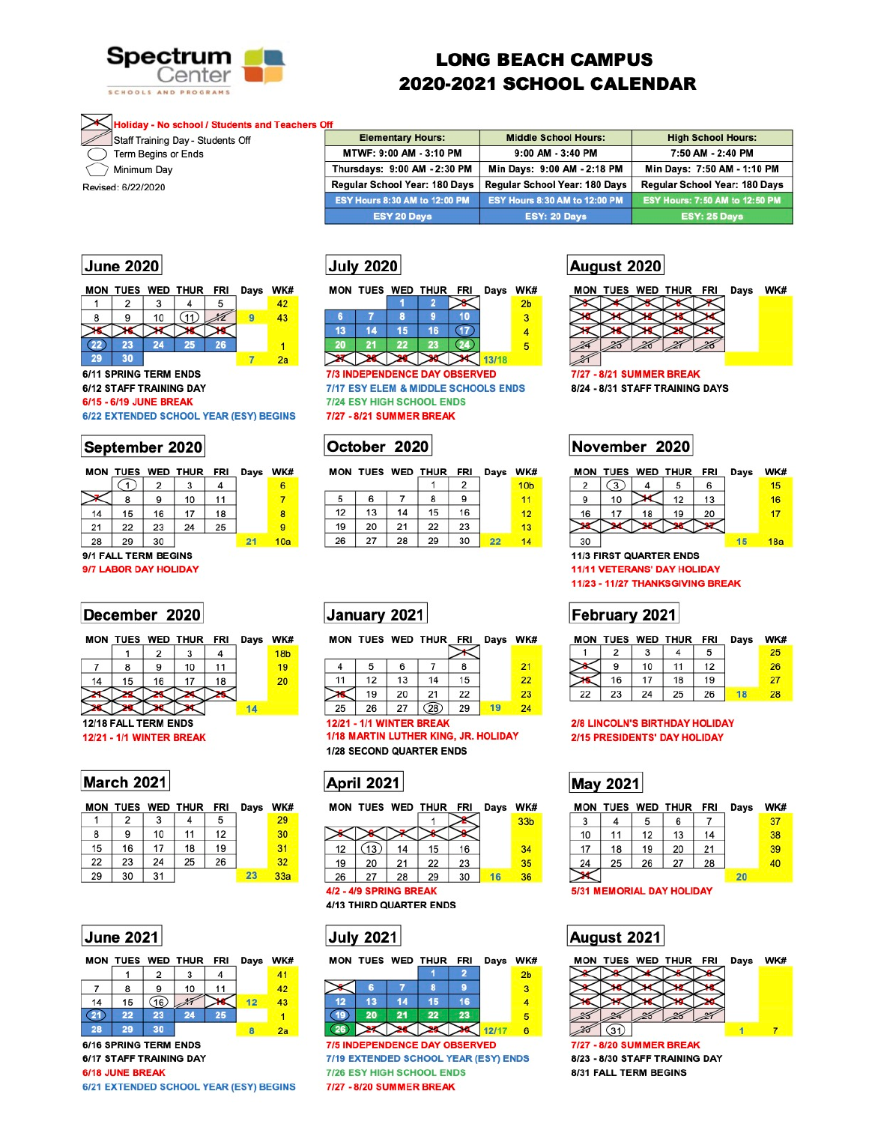

# **LONG BEACH CAMPUS 2020-2021 SCHOOL CALENDAR**

### Holiday - No school / Students and Teachers Off

Staff Training Day - Students Off

Term Begins or Ends

Minimum Day

Revised: 6/22/2020

| . .<br><b>Elementary Hours:</b>      | <b>Middle School Hours:</b>   | <b>High School Hours:</b>             |
|--------------------------------------|-------------------------------|---------------------------------------|
| MTWF: 9:00 AM - 3:10 PM              | 9:00 AM - 3:40 PM             | 7:50 AM - 2:40 PM                     |
| Thursdays: 9:00 AM - 2:30 PM         | Min Days: 9:00 AM - 2:18 PM   | Min Days: 7:50 AM - 1:10 PM           |
| Regular School Year: 180 Days        | Regular School Year: 180 Days | Regular School Year: 180 Days         |
| <b>ESY Hours 8:30 AM to 12:00 PM</b> | ESY Hours 8:30 AM to 12:00 PM | <b>ESY Hours: 7:50 AM to 12:50 PM</b> |
| <b>ESY 20 Days</b>                   | ESY: 20 Days                  | ESY: 25 Days                          |

## **June 2020**

| MON |    |    | TUES WED THUR | <b>FRI</b> | Days | WK# |
|-----|----|----|---------------|------------|------|-----|
|     | 2  | 3  |               | 5          |      | 42  |
| 8   | 9  | 10 |               |            |      | 43  |
|     |    |    |               |            |      |     |
|     | 23 | 24 | 25            | 26         |      |     |
| 29  | 30 |    |               |            |      | 2a  |

6/11 SPRING TERM ENDS 6/12 STAFF TRAINING DAY 6/15 - 6/19 JUNE BREAK 6/22 EXTENDED SCHOOL YEAR (ESY) BEGINS

## September 2020

|    |    |    | MON TUES WED THUR FRI |    | Days | WK# |
|----|----|----|-----------------------|----|------|-----|
|    |    | 2  |                       |    |      | 6   |
|    | 8  | 9  | 10                    | 11 |      |     |
| 14 | 15 | 16 | 17                    | 18 |      | 8   |
| 21 | 22 | 23 | 24                    | 25 |      | 9   |
| 28 | 29 | 30 |                       |    | 21   | 10a |

### 9/1 FALL TERM BEGINS

9/7 LABOR DAY HOLIDAY

## December 2020



|    |    |    | MON TUES WED THUR FRI | Days  | WK#            |
|----|----|----|-----------------------|-------|----------------|
|    |    |    |                       |       | 2 <sub>b</sub> |
| 6  |    | 8  | g                     |       | 3              |
| 13 | 14 | 15 | 16                    |       |                |
|    |    |    |                       |       | 5              |
|    |    |    |                       | 13/18 |                |
|    |    |    |                       |       |                |

**7/3 INDEPENDENCE DAY OBSERVED 7/17 ESY ELEM & MIDDLE SCHOOLS ENDS 7/24 ESY HIGH SCHOOL ENDS** 7/27 - 8/21 SUMMER BREAK

## October 2020

|    |    |    | MON TUES WED THUR FRI |    | Days | WK#             |
|----|----|----|-----------------------|----|------|-----------------|
|    |    |    |                       |    |      | 10 <sub>b</sub> |
| 5  | 6  |    | 8                     | 9  |      | 11              |
| 12 | 13 | 14 | 15                    | 16 |      | 12              |
| 19 | 20 | 21 | 22                    | 23 |      | 13              |
| 26 | 27 | 28 | 29                    | 30 | 22   | 14              |

## January 2021

MON TUES WED THUR\_FRI\_Days WK# 4 5 6  $\overline{7}$ 8  $21$ 11  $12$ 13 14 15 22 23 19 22 20 21  $(28)$ 27 29  $19$  $24$ 25 26

### August 2020



## November 2020

|    | MON TUES WED THUR |    |                                    | FRI | Days | WK# |
|----|-------------------|----|------------------------------------|-----|------|-----|
| 2  |                   |    | 5                                  | 6   |      | 15  |
| 9  | 10                |    | 12                                 | 13  |      | 16  |
| 16 | 17                | 18 | 19                                 | 20  |      | 17  |
|    |                   |    |                                    |     |      |     |
| 30 |                   |    |                                    |     | 15   | 18a |
|    |                   |    | <b>11/3 FIRST QUARTER ENDS</b>     |     |      |     |
|    |                   |    | <b>11/11 VETERANS' DAY HOLIDAY</b> |     |      |     |
|    |                   |    | 11/23 - 11/27 THANKSGIVING BREAK   |     |      |     |
|    |                   |    |                                    |     |      |     |

## February 2021

MON THES WED THID EDI Dave WK#



12/18 FALL TERM ENDS **12/21 - 1/1 WINTER BREAK** 

| <b>March 2021</b> |  |
|-------------------|--|
|                   |  |

|    |    |    | MON TUES WED THUR FRI |    | Days | WK <sub>1</sub> |
|----|----|----|-----------------------|----|------|-----------------|
|    | 2  | 3  |                       | 5  |      | 29              |
| 8  | 9  | 10 | 11                    | 12 |      | 30              |
| 15 | 16 | 17 | 18                    | 19 |      | 31              |
| 22 | 23 | 24 | 25                    | 26 |      | 32              |
| 29 | 30 | 31 |                       |    | 23   | 33a             |

**12/21 - 1/1 WINTER BREAK** 1/18 MARTIN LUTHER KING, JR. HOLIDAY

1/28 SECOND QUARTER ENDS



|    |    |    |    |    | WK.                       |
|----|----|----|----|----|---------------------------|
|    |    |    |    |    | 33 <sub>b</sub>           |
|    |    |    |    |    |                           |
| 13 | 14 | 15 | 16 |    | 34                        |
| 20 | 21 | 22 | 23 |    | 35                        |
| 27 | 28 | 29 | 30 | 16 | 36                        |
|    |    |    |    |    | TUES WED THUR FRI<br>Days |

4/2 - 4/9 SPRING BREAK

4/13 THIRD QUARTER ENDS





6/16 SPRING TERM ENDS 6/17 STAFF TRAINING DAY

6/18 JUNE BREAK

6/21 EXTENDED SCHOOL YEAR (ESY) BEGINS



**7/5 INDEPENDENCE DAY OBSERVED** 7/19 EXTENDED SCHOOL YEAR (ESY) ENDS **7/26 ESY HIGH SCHOOL ENDS** 7/27 - 8/20 SUMMER BREAK

| mun |    |    | TULS WED THUR TRI |    | <b>Days</b> | <b>TTIME</b> |
|-----|----|----|-------------------|----|-------------|--------------|
|     |    |    |                   |    |             | 25           |
|     |    | 10 | 11                | 12 |             | 26           |
|     | 16 | 17 | 18                | 19 |             | 27           |
| 22  | 23 | 24 | 25                | 26 |             | 28           |

### **2/8 LINCOLN'S BIRTHDAY HOLIDAY** 2/15 PRESIDENTS' DAY HOLIDAY

# **May 2021**

| <b>MON</b> |    |    | TUES WED THUR FRI         |    | Days | WK# |
|------------|----|----|---------------------------|----|------|-----|
| 3          |    | 5  | 6                         |    |      | 37  |
| 10         | 11 | 12 | 13                        | 14 |      | 38  |
| 17         | 18 | 19 | 20                        | 21 |      | 39  |
| 24         | 25 | 26 | 27                        | 28 |      | 40  |
|            |    |    |                           |    | 20   |     |
|            |    |    | 5/31 MEMORIAL DAY HOLIDAY |    |      |     |



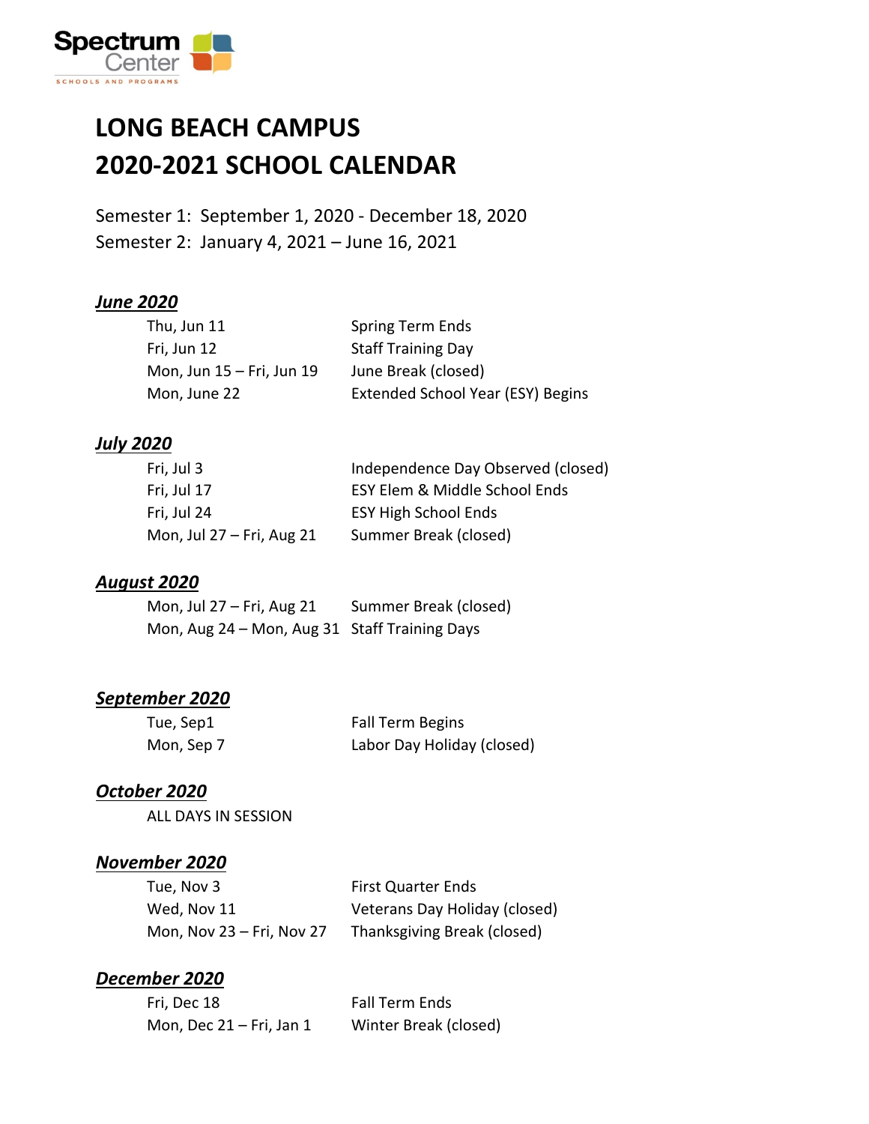

### **LONG BEACH CAMPUS 2020-2021 SCHOOL CALENDAR**

Semester 1: September 1, 2020 - December 18, 2020 Semester 2: January 4, 2021 – June 16, 2021

#### *June 2020*

| Thu, Jun 11               | Spring Term Ends                  |
|---------------------------|-----------------------------------|
| Fri, Jun 12               | <b>Staff Training Day</b>         |
| Mon, Jun 15 – Fri, Jun 19 | June Break (closed)               |
| Mon, June 22              | Extended School Year (ESY) Begins |

#### *July 2020*

| Fri, Jul 3                | Independence Day Observed (closed) |
|---------------------------|------------------------------------|
| Fri, Jul 17               | ESY Elem & Middle School Ends      |
| Fri, Jul 24               | <b>ESY High School Ends</b>        |
| Mon, Jul 27 – Fri, Aug 21 | Summer Break (closed)              |

#### *August 2020*

| Mon, Jul $27$ – Fri, Aug 21                   | Summer Break (closed) |
|-----------------------------------------------|-----------------------|
| Mon, Aug 24 - Mon, Aug 31 Staff Training Days |                       |

#### *September 2020*

| Tue, Sep1  | <b>Fall Term Begins</b>    |
|------------|----------------------------|
| Mon, Sep 7 | Labor Day Holiday (closed) |

#### *October 2020*

ALL DAYS IN SESSION

#### *November 2020*

| Tue, Nov 3                | <b>First Quarter Ends</b>     |
|---------------------------|-------------------------------|
| Wed, Nov 11               | Veterans Day Holiday (closed) |
| Mon, Nov 23 – Fri, Nov 27 | Thanksgiving Break (closed)   |

#### *December 2020*

| Fri, Dec 18                 | <b>Fall Term Ends</b> |
|-----------------------------|-----------------------|
| Mon, Dec $21 - Fri$ , Jan 1 | Winter Break (closed) |